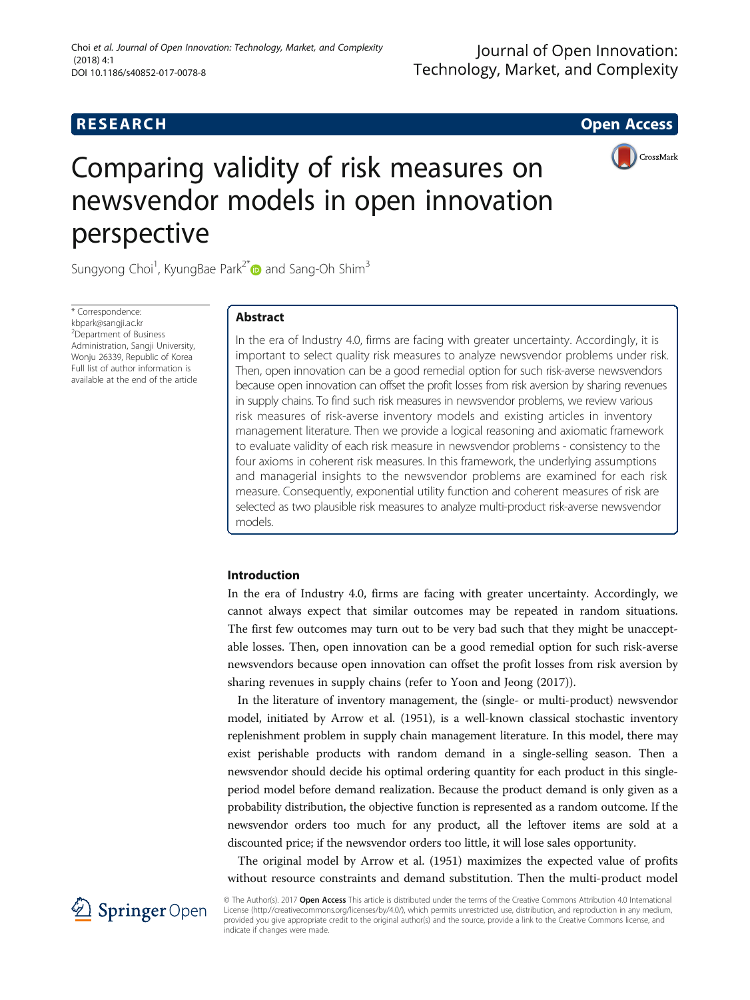### **RESEARCH RESEARCH CONSUMING ACCESS**



# Comparing validity of risk measures on newsvendor models in open innovation perspective

Sungyong Choi<sup>1</sup>, KyungBae Park<sup>2\*</sup> and Sang-Oh Shim<sup>3</sup>

\* Correspondence: [kbpark@sangji.ac.kr](mailto:kbpark@sangji.ac.kr) 2 Department of Business Administration, Sangji University, Wonju 26339, Republic of Korea Full list of author information is available at the end of the article

### Abstract

In the era of Industry 4.0, firms are facing with greater uncertainty. Accordingly, it is important to select quality risk measures to analyze newsvendor problems under risk. Then, open innovation can be a good remedial option for such risk-averse newsvendors because open innovation can offset the profit losses from risk aversion by sharing revenues in supply chains. To find such risk measures in newsvendor problems, we review various risk measures of risk-averse inventory models and existing articles in inventory management literature. Then we provide a logical reasoning and axiomatic framework to evaluate validity of each risk measure in newsvendor problems - consistency to the four axioms in coherent risk measures. In this framework, the underlying assumptions and managerial insights to the newsvendor problems are examined for each risk measure. Consequently, exponential utility function and coherent measures of risk are selected as two plausible risk measures to analyze multi-product risk-averse newsvendor models.

### Introduction

In the era of Industry 4.0, firms are facing with greater uncertainty. Accordingly, we cannot always expect that similar outcomes may be repeated in random situations. The first few outcomes may turn out to be very bad such that they might be unacceptable losses. Then, open innovation can be a good remedial option for such risk-averse newsvendors because open innovation can offset the profit losses from risk aversion by sharing revenues in supply chains (refer to Yoon and Jeong [\(2017](#page-11-0))).

In the literature of inventory management, the (single- or multi-product) newsvendor model, initiated by Arrow et al. [\(1951](#page-11-0)), is a well-known classical stochastic inventory replenishment problem in supply chain management literature. In this model, there may exist perishable products with random demand in a single-selling season. Then a newsvendor should decide his optimal ordering quantity for each product in this singleperiod model before demand realization. Because the product demand is only given as a probability distribution, the objective function is represented as a random outcome. If the newsvendor orders too much for any product, all the leftover items are sold at a discounted price; if the newsvendor orders too little, it will lose sales opportunity.

The original model by Arrow et al. [\(1951\)](#page-11-0) maximizes the expected value of profits without resource constraints and demand substitution. Then the multi-product model



© The Author(s). 2017 Open Access This article is distributed under the terms of the Creative Commons Attribution 4.0 International License [\(http://creativecommons.org/licenses/by/4.0/](http://creativecommons.org/licenses/by/4.0/)), which permits unrestricted use, distribution, and reproduction in any medium, provided you give appropriate credit to the original author(s) and the source, provide a link to the Creative Commons license, and indicate if changes were made.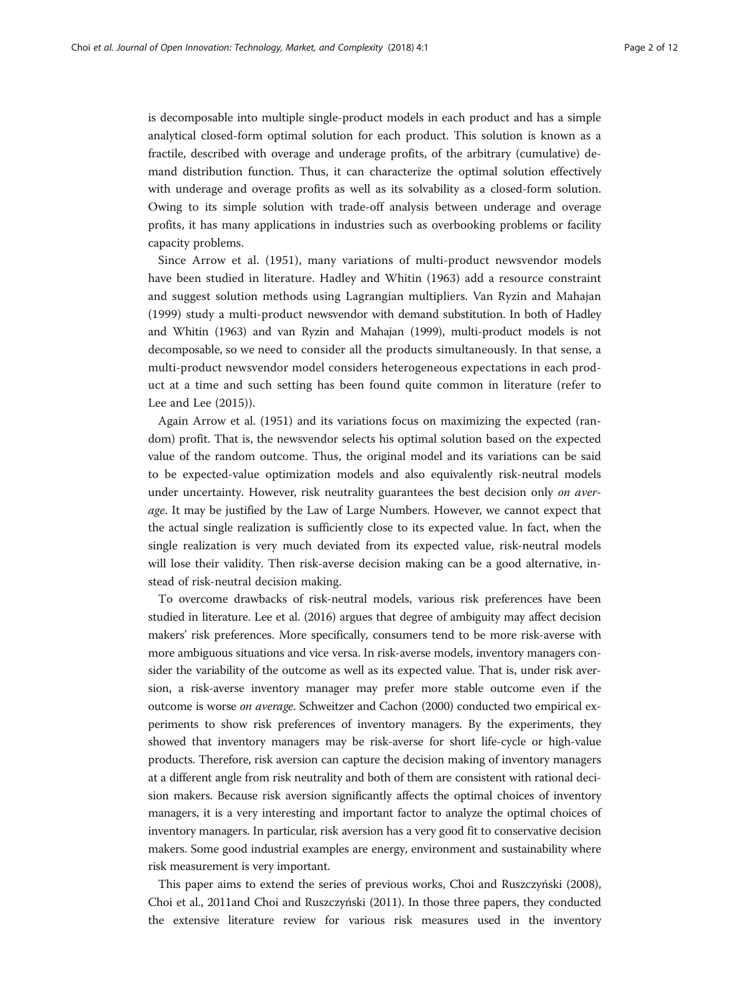is decomposable into multiple single-product models in each product and has a simple analytical closed-form optimal solution for each product. This solution is known as a fractile, described with overage and underage profits, of the arbitrary (cumulative) demand distribution function. Thus, it can characterize the optimal solution effectively with underage and overage profits as well as its solvability as a closed-form solution. Owing to its simple solution with trade-off analysis between underage and overage profits, it has many applications in industries such as overbooking problems or facility capacity problems.

Since Arrow et al. ([1951](#page-11-0)), many variations of multi-product newsvendor models have been studied in literature. Hadley and Whitin [\(1963](#page-11-0)) add a resource constraint and suggest solution methods using Lagrangian multipliers. Van Ryzin and Mahajan ([1999\)](#page-11-0) study a multi-product newsvendor with demand substitution. In both of Hadley and Whitin ([1963\)](#page-11-0) and van Ryzin and Mahajan [\(1999](#page-11-0)), multi-product models is not decomposable, so we need to consider all the products simultaneously. In that sense, a multi-product newsvendor model considers heterogeneous expectations in each product at a time and such setting has been found quite common in literature (refer to Lee and Lee [\(2015](#page-11-0))).

Again Arrow et al. ([1951](#page-11-0)) and its variations focus on maximizing the expected (random) profit. That is, the newsvendor selects his optimal solution based on the expected value of the random outcome. Thus, the original model and its variations can be said to be expected-value optimization models and also equivalently risk-neutral models under uncertainty. However, risk neutrality guarantees the best decision only *on aver*age. It may be justified by the Law of Large Numbers. However, we cannot expect that the actual single realization is sufficiently close to its expected value. In fact, when the single realization is very much deviated from its expected value, risk-neutral models will lose their validity. Then risk-averse decision making can be a good alternative, instead of risk-neutral decision making.

To overcome drawbacks of risk-neutral models, various risk preferences have been studied in literature. Lee et al. ([2016\)](#page-11-0) argues that degree of ambiguity may affect decision makers' risk preferences. More specifically, consumers tend to be more risk-averse with more ambiguous situations and vice versa. In risk-averse models, inventory managers consider the variability of the outcome as well as its expected value. That is, under risk aversion, a risk-averse inventory manager may prefer more stable outcome even if the outcome is worse on average. Schweitzer and Cachon ([2000](#page-11-0)) conducted two empirical experiments to show risk preferences of inventory managers. By the experiments, they showed that inventory managers may be risk-averse for short life-cycle or high-value products. Therefore, risk aversion can capture the decision making of inventory managers at a different angle from risk neutrality and both of them are consistent with rational decision makers. Because risk aversion significantly affects the optimal choices of inventory managers, it is a very interesting and important factor to analyze the optimal choices of inventory managers. In particular, risk aversion has a very good fit to conservative decision makers. Some good industrial examples are energy, environment and sustainability where risk measurement is very important.

This paper aims to extend the series of previous works, Choi and Ruszczyński [\(2008](#page-11-0)), Choi et al., [2011a](#page-11-0)nd Choi and Ruszczyński ([2011\)](#page-11-0). In those three papers, they conducted the extensive literature review for various risk measures used in the inventory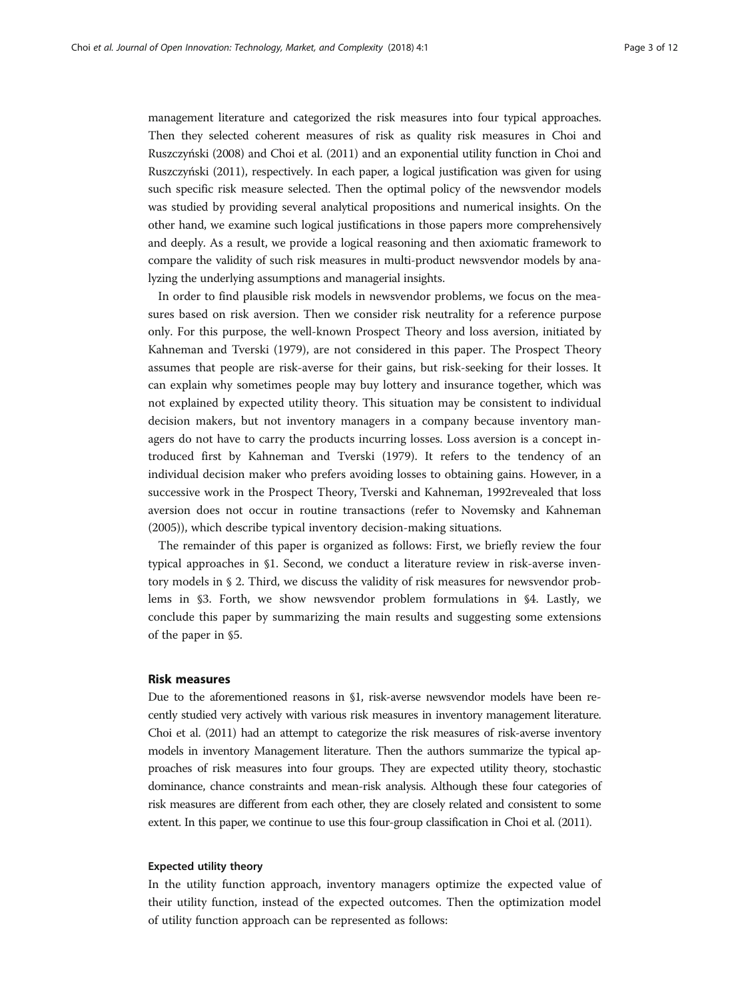management literature and categorized the risk measures into four typical approaches. Then they selected coherent measures of risk as quality risk measures in Choi and Ruszczyński ([2008](#page-11-0)) and Choi et al. [\(2011\)](#page-11-0) and an exponential utility function in Choi and Ruszczyński [\(2011\)](#page-11-0), respectively. In each paper, a logical justification was given for using such specific risk measure selected. Then the optimal policy of the newsvendor models was studied by providing several analytical propositions and numerical insights. On the other hand, we examine such logical justifications in those papers more comprehensively and deeply. As a result, we provide a logical reasoning and then axiomatic framework to compare the validity of such risk measures in multi-product newsvendor models by analyzing the underlying assumptions and managerial insights.

In order to find plausible risk models in newsvendor problems, we focus on the measures based on risk aversion. Then we consider risk neutrality for a reference purpose only. For this purpose, the well-known Prospect Theory and loss aversion, initiated by Kahneman and Tverski ([1979](#page-11-0)), are not considered in this paper. The Prospect Theory assumes that people are risk-averse for their gains, but risk-seeking for their losses. It can explain why sometimes people may buy lottery and insurance together, which was not explained by expected utility theory. This situation may be consistent to individual decision makers, but not inventory managers in a company because inventory managers do not have to carry the products incurring losses. Loss aversion is a concept introduced first by Kahneman and Tverski ([1979](#page-11-0)). It refers to the tendency of an individual decision maker who prefers avoiding losses to obtaining gains. However, in a successive work in the Prospect Theory, Tverski and Kahneman, [1992](#page-11-0)revealed that loss aversion does not occur in routine transactions (refer to Novemsky and Kahneman ([2005](#page-11-0))), which describe typical inventory decision-making situations.

The remainder of this paper is organized as follows: First, we briefly review the four typical approaches in §1. Second, we conduct a literature review in risk-averse inventory models in § 2. Third, we discuss the validity of risk measures for newsvendor problems in §3. Forth, we show newsvendor problem formulations in §4. Lastly, we conclude this paper by summarizing the main results and suggesting some extensions of the paper in §5.

### Risk measures

Due to the aforementioned reasons in §1, risk-averse newsvendor models have been recently studied very actively with various risk measures in inventory management literature. Choi et al. [\(2011\)](#page-11-0) had an attempt to categorize the risk measures of risk-averse inventory models in inventory Management literature. Then the authors summarize the typical approaches of risk measures into four groups. They are expected utility theory, stochastic dominance, chance constraints and mean-risk analysis. Although these four categories of risk measures are different from each other, they are closely related and consistent to some extent. In this paper, we continue to use this four-group classification in Choi et al. [\(2011](#page-11-0)).

### Expected utility theory

In the utility function approach, inventory managers optimize the expected value of their utility function, instead of the expected outcomes. Then the optimization model of utility function approach can be represented as follows: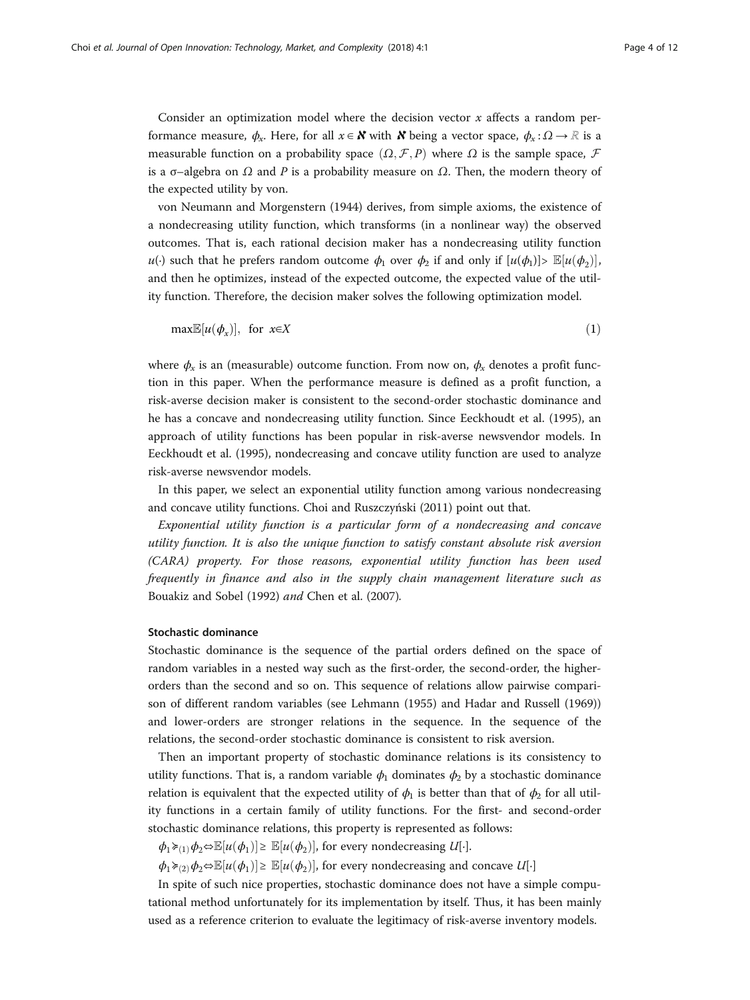Consider an optimization model where the decision vector  $x$  affects a random performance measure,  $\phi_x$ . Here, for all  $x \in \mathbf{X}$  with  $\mathbf{X}$  being a vector space,  $\phi_x : \Omega \to \mathbb{R}$  is a measurable function on a probability space  $(\Omega, \mathcal{F}, P)$  where  $\Omega$  is the sample space,  $\mathcal F$ is a σ–algebra on  $\Omega$  and P is a probability measure on  $\Omega$ . Then, the modern theory of the expected utility by von.

von Neumann and Morgenstern [\(1944\)](#page-11-0) derives, from simple axioms, the existence of a nondecreasing utility function, which transforms (in a nonlinear way) the observed outcomes. That is, each rational decision maker has a nondecreasing utility function u(⋅) such that he prefers random outcome  $\phi_1$  over  $\phi_2$  if and only if  $[u(\phi_1)] > \mathbb{E}[u(\phi_2)]$ , and then he optimizes, instead of the expected outcome, the expected value of the utility function. Therefore, the decision maker solves the following optimization model.

 $\max \mathbb{E}[u(\phi_x)], \text{ for } x \in X$  (1)

where  $\phi_x$  is an (measurable) outcome function. From now on,  $\phi_x$  denotes a profit function in this paper. When the performance measure is defined as a profit function, a risk-averse decision maker is consistent to the second-order stochastic dominance and he has a concave and nondecreasing utility function. Since Eeckhoudt et al. [\(1995\)](#page-11-0), an approach of utility functions has been popular in risk-averse newsvendor models. In Eeckhoudt et al. [\(1995\)](#page-11-0), nondecreasing and concave utility function are used to analyze risk-averse newsvendor models.

In this paper, we select an exponential utility function among various nondecreasing and concave utility functions. Choi and Ruszczyński ([2011](#page-11-0)) point out that.

Exponential utility function is a particular form of a nondecreasing and concave utility function. It is also the unique function to satisfy constant absolute risk aversion (CARA) property. For those reasons, exponential utility function has been used frequently in finance and also in the supply chain management literature such as Bouakiz and Sobel [\(1992\)](#page-11-0) and Chen et al. [\(2007\)](#page-11-0).

### Stochastic dominance

Stochastic dominance is the sequence of the partial orders defined on the space of random variables in a nested way such as the first-order, the second-order, the higherorders than the second and so on. This sequence of relations allow pairwise comparison of different random variables (see Lehmann [\(1955\)](#page-11-0) and Hadar and Russell ([1969](#page-11-0))) and lower-orders are stronger relations in the sequence. In the sequence of the relations, the second-order stochastic dominance is consistent to risk aversion.

Then an important property of stochastic dominance relations is its consistency to utility functions. That is, a random variable  $\phi_1$  dominates  $\phi_2$  by a stochastic dominance relation is equivalent that the expected utility of  $\phi_1$  is better than that of  $\phi_2$  for all utility functions in a certain family of utility functions. For the first- and second-order stochastic dominance relations, this property is represented as follows:

 $\phi_1 \ast_{(1)} \phi_2 \Leftrightarrow \mathbb{E}[u(\phi_1)] \geq \mathbb{E}[u(\phi_2)]$ , for every nondecreasing  $U[\cdot]$ .

 $\phi_1 \succcurlyeq_{(2)} \phi_2 \Leftrightarrow \mathbb{E}[u(\phi_1)] \geq \mathbb{E}[u(\phi_2)]$ , for every nondecreasing and concave  $U[\cdot]$ 

In spite of such nice properties, stochastic dominance does not have a simple computational method unfortunately for its implementation by itself. Thus, it has been mainly used as a reference criterion to evaluate the legitimacy of risk-averse inventory models.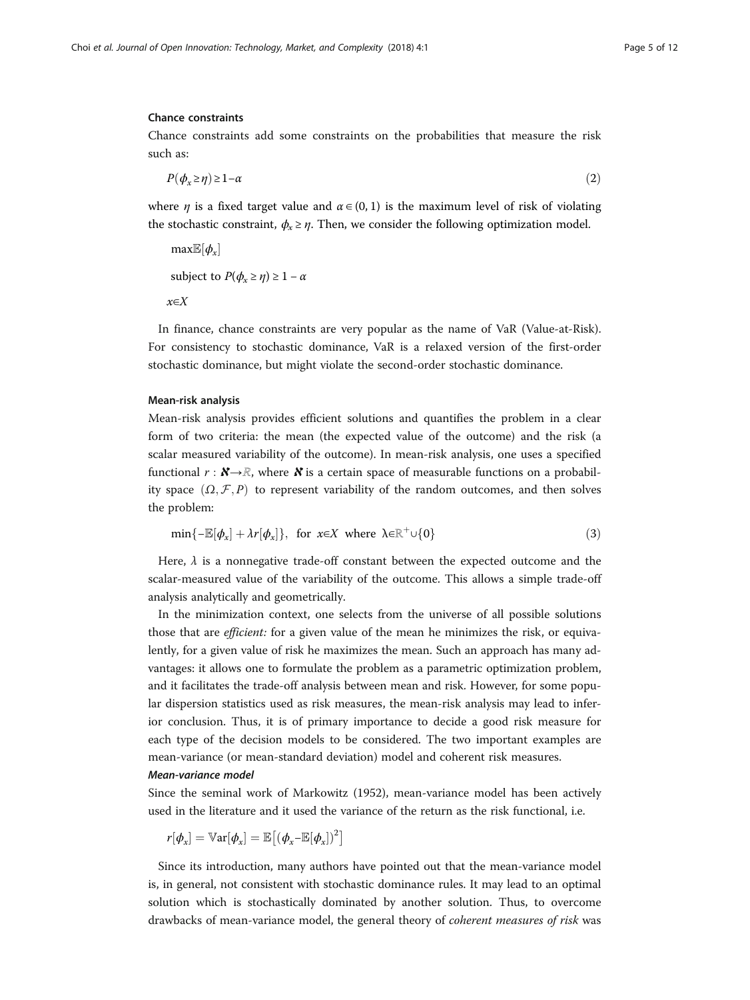### Chance constraints

Chance constraints add some constraints on the probabilities that measure the risk such as:

$$
P(\phi_x \ge \eta) \ge 1 - \alpha \tag{2}
$$

where  $\eta$  is a fixed target value and  $\alpha \in (0, 1)$  is the maximum level of risk of violating the stochastic constraint,  $\phi_x \geq \eta$ . Then, we consider the following optimization model.

```
max\mathbb{E}[\phi_x]subject to P(\phi_x \geq \eta) \geq 1 - \alphax∈X
```
In finance, chance constraints are very popular as the name of VaR (Value-at-Risk). For consistency to stochastic dominance, VaR is a relaxed version of the first-order stochastic dominance, but might violate the second-order stochastic dominance.

### Mean-risk analysis

Mean-risk analysis provides efficient solutions and quantifies the problem in a clear form of two criteria: the mean (the expected value of the outcome) and the risk (a scalar measured variability of the outcome). In mean-risk analysis, one uses a specified functional  $r : \mathbf{X} \to \mathbb{R}$ , where  $\mathbf{X}$  is a certain space of measurable functions on a probability space  $(\Omega, \mathcal{F}, P)$  to represent variability of the random outcomes, and then solves the problem:

$$
\min\{-\mathbb{E}[\phi_x] + \lambda r[\phi_x]\}, \text{ for } x \in X \text{ where } \lambda \in \mathbb{R}^+ \cup \{0\} \tag{3}
$$

Here,  $\lambda$  is a nonnegative trade-off constant between the expected outcome and the scalar-measured value of the variability of the outcome. This allows a simple trade-off analysis analytically and geometrically.

In the minimization context, one selects from the universe of all possible solutions those that are *efficient*: for a given value of the mean he minimizes the risk, or equivalently, for a given value of risk he maximizes the mean. Such an approach has many advantages: it allows one to formulate the problem as a parametric optimization problem, and it facilitates the trade-off analysis between mean and risk. However, for some popular dispersion statistics used as risk measures, the mean-risk analysis may lead to inferior conclusion. Thus, it is of primary importance to decide a good risk measure for each type of the decision models to be considered. The two important examples are mean-variance (or mean-standard deviation) model and coherent risk measures.

### Mean-variance model

Since the seminal work of Markowitz ([1952](#page-11-0)), mean-variance model has been actively used in the literature and it used the variance of the return as the risk functional, i.e.

$$
r[\boldsymbol{\phi}_x] = \mathbb{V}\text{ar}[\boldsymbol{\phi}_x] = \mathbb{E}\big[(\boldsymbol{\phi}_x - \mathbb{E}[\boldsymbol{\phi}_x])^2\big]
$$

Since its introduction, many authors have pointed out that the mean-variance model is, in general, not consistent with stochastic dominance rules. It may lead to an optimal solution which is stochastically dominated by another solution. Thus, to overcome drawbacks of mean-variance model, the general theory of coherent measures of risk was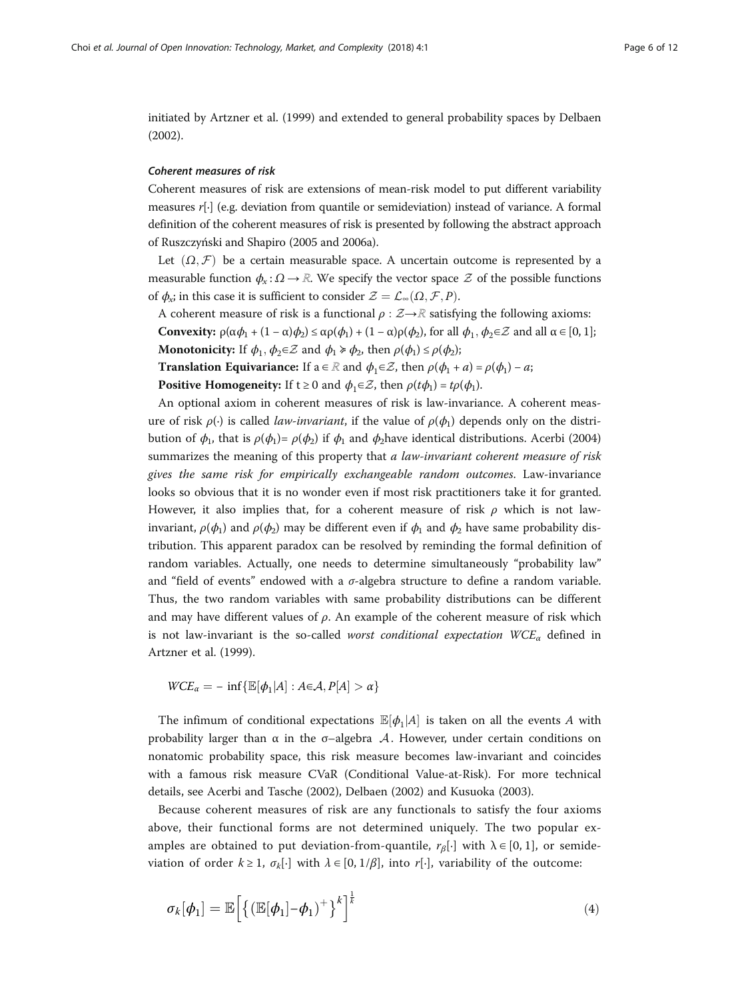initiated by Artzner et al. [\(1999](#page-11-0)) and extended to general probability spaces by Delbaen ([2002](#page-11-0)).

### Coherent measures of risk

Coherent measures of risk are extensions of mean-risk model to put different variability measures r[∙] (e.g. deviation from quantile or semideviation) instead of variance. A formal definition of the coherent measures of risk is presented by following the abstract approach of Ruszczyński and Shapiro ([2005](#page-11-0) and [2006a\)](#page-11-0).

Let  $(\Omega, \mathcal{F})$  be a certain measurable space. A uncertain outcome is represented by a measurable function  $\phi_x : \Omega \to \mathbb{R}$ . We specify the vector space  $\mathcal Z$  of the possible functions of  $\phi_x$ ; in this case it is sufficient to consider  $\mathcal{Z} = \mathcal{L}_{\infty}(\Omega, \mathcal{F}, P)$ .

A coherent measure of risk is a functional  $\rho : \mathcal{Z} \rightarrow \mathbb{R}$  satisfying the following axioms: Convexity:  $\rho(\alpha \phi_1 + (1 - \alpha)\phi_2) \leq \alpha \rho(\phi_1) + (1 - \alpha)\rho(\phi_2)$ , for all  $\phi_1, \phi_2 \in \mathcal{Z}$  and all  $\alpha \in [0, 1]$ ; **Monotonicity:** If  $\phi_1, \phi_2 \in \mathcal{Z}$  and  $\phi_1 \geq \phi_2$ , then  $\rho(\phi_1) \leq \rho(\phi_2)$ ;

**Translation Equivariance:** If a  $\in \mathbb{R}$  and  $\phi_1 \in \mathbb{Z}$ , then  $\rho(\phi_1 + a) = \rho(\phi_1) - a$ ;

**Positive Homogeneity:** If  $t \ge 0$  and  $\phi_1 \in \mathcal{Z}$ , then  $\rho(t\phi_1) = t\rho(\phi_1)$ .

An optional axiom in coherent measures of risk is law-invariance. A coherent measure of risk  $\rho(\cdot)$  is called *law-invariant*, if the value of  $\rho(\phi_1)$  depends only on the distribution of  $\phi_1$ , that is  $\rho(\phi_1) = \rho(\phi_2)$  if  $\phi_1$  and  $\phi_2$ have identical distributions. Acerbi ([2004](#page-11-0)) summarizes the meaning of this property that a law-invariant coherent measure of risk gives the same risk for empirically exchangeable random outcomes. Law-invariance looks so obvious that it is no wonder even if most risk practitioners take it for granted. However, it also implies that, for a coherent measure of risk  $\rho$  which is not lawinvariant,  $\rho(\phi_1)$  and  $\rho(\phi_2)$  may be different even if  $\phi_1$  and  $\phi_2$  have same probability distribution. This apparent paradox can be resolved by reminding the formal definition of random variables. Actually, one needs to determine simultaneously "probability law" and "field of events" endowed with a  $\sigma$ -algebra structure to define a random variable. Thus, the two random variables with same probability distributions can be different and may have different values of  $\rho$ . An example of the coherent measure of risk which is not law-invariant is the so-called worst conditional expectation  $WCE_\alpha$  defined in Artzner et al. ([1999\)](#page-11-0).

$$
WCE_{\alpha} = -\inf \{ \mathbb{E}[\phi_1 | A] : A \in \mathcal{A}, P[A] > \alpha \}
$$

The infimum of conditional expectations  $\mathbb{E}[\phi_1|A]$  is taken on all the events A with probability larger than  $\alpha$  in the σ–algebra A. However, under certain conditions on nonatomic probability space, this risk measure becomes law-invariant and coincides with a famous risk measure CVaR (Conditional Value-at-Risk). For more technical details, see Acerbi and Tasche ([2002](#page-11-0)), Delbaen [\(2002\)](#page-11-0) and Kusuoka [\(2003\)](#page-11-0).

Because coherent measures of risk are any functionals to satisfy the four axioms above, their functional forms are not determined uniquely. The two popular examples are obtained to put deviation-from-quantile,  $r_\beta[\cdot]$  with  $\lambda \in [0, 1]$ , or semideviation of order  $k \ge 1$ ,  $\sigma_k[\cdot]$  with  $\lambda \in [0, 1/\beta]$ , into r[⋅], variability of the outcome:

$$
\sigma_k[\boldsymbol{\phi}_1] = \mathbb{E}\Big[\big\{ \big(\mathbb{E}[\boldsymbol{\phi}_1] - \boldsymbol{\phi}_1\big)^+ \big\}^k \Big]^{\frac{1}{k}} \tag{4}
$$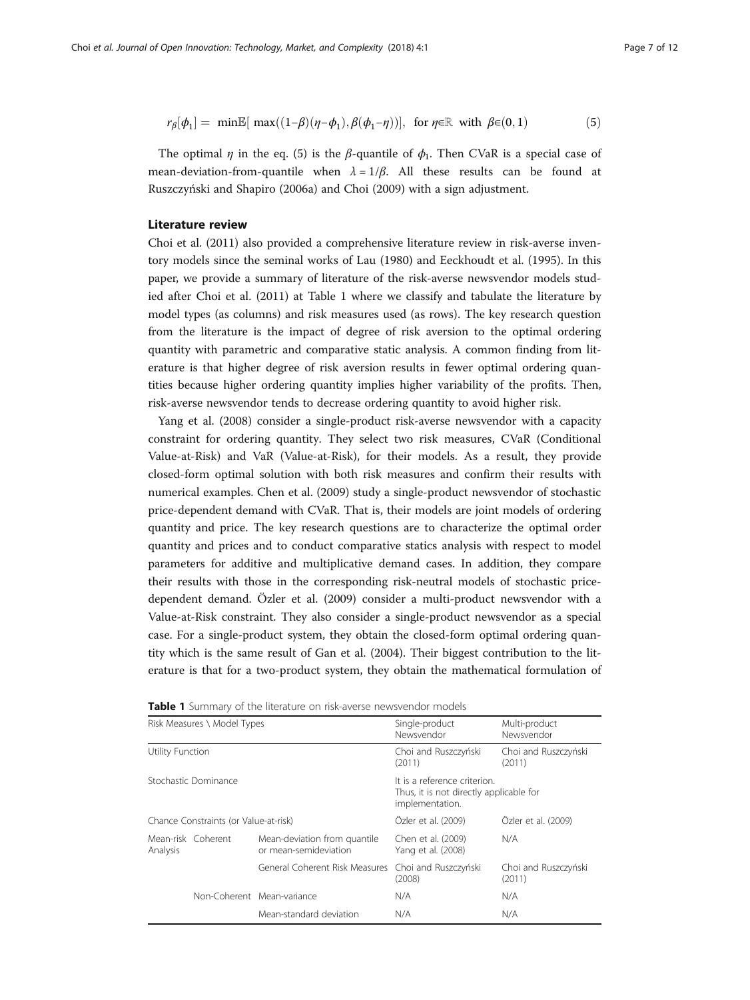$$
r_{\beta}[\phi_1] = \min \mathbb{E}[\max((1-\beta)(\eta-\phi_1), \beta(\phi_1-\eta))], \text{ for } \eta \in \mathbb{R} \text{ with } \beta \in (0,1)
$$
 (5)

The optimal  $\eta$  in the eq. (5) is the  $\beta$ -quantile of  $\phi_1$ . Then CVaR is a special case of mean-deviation-from-quantile when  $\lambda = 1/\beta$ . All these results can be found at Ruszczyński and Shapiro [\(2006a](#page-11-0)) and Choi ([2009\)](#page-11-0) with a sign adjustment.

### Literature review

Choi et al. ([2011\)](#page-11-0) also provided a comprehensive literature review in risk-averse inventory models since the seminal works of Lau [\(1980\)](#page-11-0) and Eeckhoudt et al. ([1995](#page-11-0)). In this paper, we provide a summary of literature of the risk-averse newsvendor models studied after Choi et al. ([2011](#page-11-0)) at Table 1 where we classify and tabulate the literature by model types (as columns) and risk measures used (as rows). The key research question from the literature is the impact of degree of risk aversion to the optimal ordering quantity with parametric and comparative static analysis. A common finding from literature is that higher degree of risk aversion results in fewer optimal ordering quantities because higher ordering quantity implies higher variability of the profits. Then, risk-averse newsvendor tends to decrease ordering quantity to avoid higher risk.

Yang et al. [\(2008\)](#page-11-0) consider a single-product risk-averse newsvendor with a capacity constraint for ordering quantity. They select two risk measures, CVaR (Conditional Value-at-Risk) and VaR (Value-at-Risk), for their models. As a result, they provide closed-form optimal solution with both risk measures and confirm their results with numerical examples. Chen et al. ([2009](#page-11-0)) study a single-product newsvendor of stochastic price-dependent demand with CVaR. That is, their models are joint models of ordering quantity and price. The key research questions are to characterize the optimal order quantity and prices and to conduct comparative statics analysis with respect to model parameters for additive and multiplicative demand cases. In addition, they compare their results with those in the corresponding risk-neutral models of stochastic pricedependent demand. Özler et al. [\(2009](#page-11-0)) consider a multi-product newsvendor with a Value-at-Risk constraint. They also consider a single-product newsvendor as a special case. For a single-product system, they obtain the closed-form optimal ordering quantity which is the same result of Gan et al. [\(2004](#page-11-0)). Their biggest contribution to the literature is that for a two-product system, they obtain the mathematical formulation of

| Risk Measures \ Model Types           |  |                                                       | Single-product<br>Newsvendor                                                               | Multi-product<br>Newsvendor    |  |
|---------------------------------------|--|-------------------------------------------------------|--------------------------------------------------------------------------------------------|--------------------------------|--|
| Utility Function                      |  |                                                       | Choi and Ruszczyński<br>(2011)                                                             | Choi and Ruszczyński<br>(2011) |  |
| Stochastic Dominance                  |  |                                                       | It is a reference criterion.<br>Thus, it is not directly applicable for<br>implementation. |                                |  |
| Chance Constraints (or Value-at-risk) |  |                                                       | Özler et al. (2009)                                                                        | Özler et al. (2009)            |  |
| Mean-risk Coherent<br>Analysis        |  | Mean-deviation from quantile<br>or mean-semideviation | Chen et al. (2009)<br>Yang et al. (2008)                                                   | N/A                            |  |
|                                       |  | General Coherent Risk Measures                        | Choi and Ruszczyński<br>(2008)                                                             | Choi and Ruszczyński<br>(2011) |  |
|                                       |  | Non-Coherent Mean-variance                            | N/A                                                                                        | N/A                            |  |
|                                       |  | Mean-standard deviation                               | N/A                                                                                        | N/A                            |  |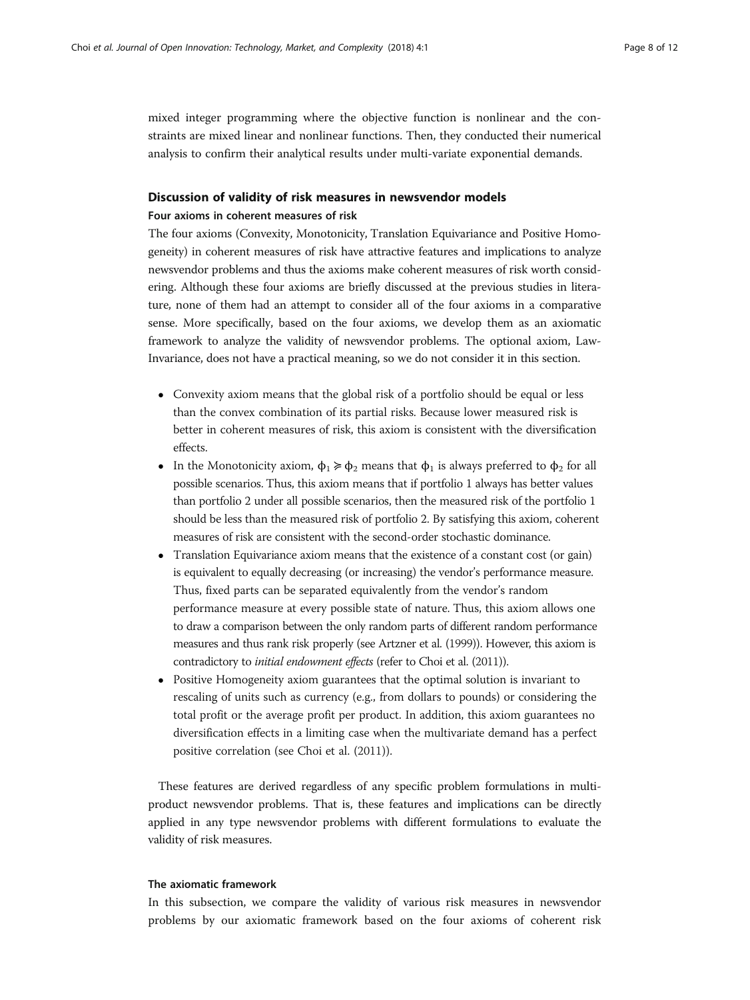mixed integer programming where the objective function is nonlinear and the constraints are mixed linear and nonlinear functions. Then, they conducted their numerical analysis to confirm their analytical results under multi-variate exponential demands.

## Discussion of validity of risk measures in newsvendor models

### Four axioms in coherent measures of risk

The four axioms (Convexity, Monotonicity, Translation Equivariance and Positive Homogeneity) in coherent measures of risk have attractive features and implications to analyze newsvendor problems and thus the axioms make coherent measures of risk worth considering. Although these four axioms are briefly discussed at the previous studies in literature, none of them had an attempt to consider all of the four axioms in a comparative sense. More specifically, based on the four axioms, we develop them as an axiomatic framework to analyze the validity of newsvendor problems. The optional axiom, Law-Invariance, does not have a practical meaning, so we do not consider it in this section.

- Convexity axiom means that the global risk of a portfolio should be equal or less than the convex combination of its partial risks. Because lower measured risk is better in coherent measures of risk, this axiom is consistent with the diversification effects.
- In the Monotonicity axiom,  $\phi_1 \ge \phi_2$  means that  $\phi_1$  is always preferred to  $\phi_2$  for all possible scenarios. Thus, this axiom means that if portfolio 1 always has better values than portfolio 2 under all possible scenarios, then the measured risk of the portfolio 1 should be less than the measured risk of portfolio 2. By satisfying this axiom, coherent measures of risk are consistent with the second-order stochastic dominance.
- Translation Equivariance axiom means that the existence of a constant cost (or gain) is equivalent to equally decreasing (or increasing) the vendor's performance measure. Thus, fixed parts can be separated equivalently from the vendor's random performance measure at every possible state of nature. Thus, this axiom allows one to draw a comparison between the only random parts of different random performance measures and thus rank risk properly (see Artzner et al. [\(1999](#page-11-0))). However, this axiom is contradictory to initial endowment effects (refer to Choi et al. ([2011](#page-11-0))).
- Positive Homogeneity axiom guarantees that the optimal solution is invariant to rescaling of units such as currency (e.g., from dollars to pounds) or considering the total profit or the average profit per product. In addition, this axiom guarantees no diversification effects in a limiting case when the multivariate demand has a perfect positive correlation (see Choi et al. [\(2011](#page-11-0))).

These features are derived regardless of any specific problem formulations in multiproduct newsvendor problems. That is, these features and implications can be directly applied in any type newsvendor problems with different formulations to evaluate the validity of risk measures.

### The axiomatic framework

In this subsection, we compare the validity of various risk measures in newsvendor problems by our axiomatic framework based on the four axioms of coherent risk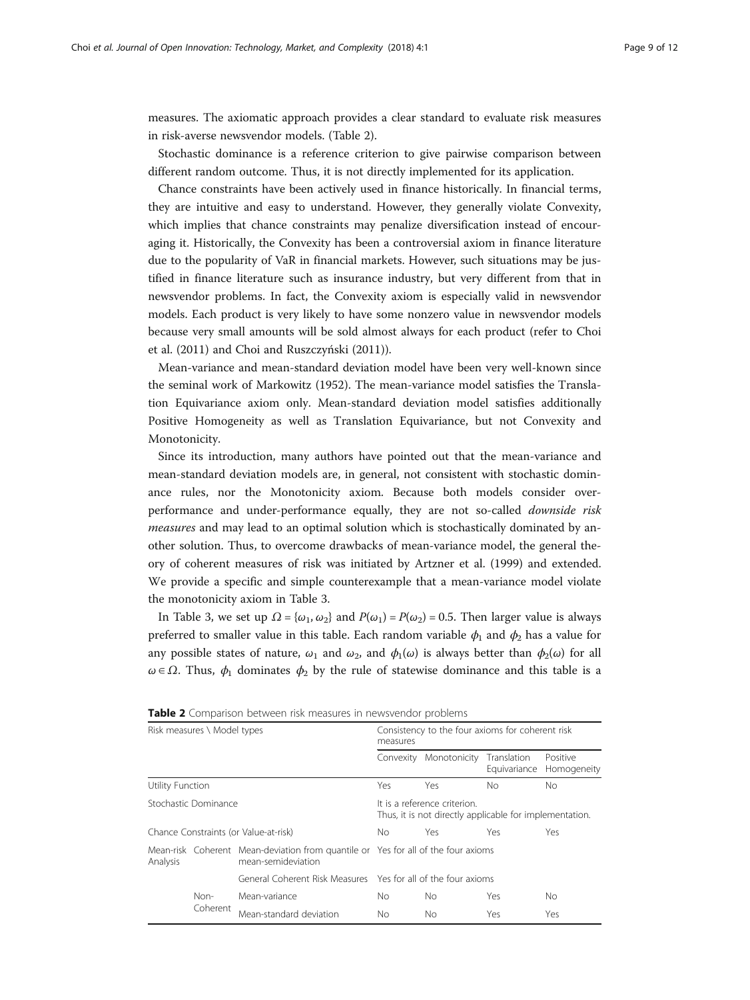measures. The axiomatic approach provides a clear standard to evaluate risk measures in risk-averse newsvendor models. (Table 2).

Stochastic dominance is a reference criterion to give pairwise comparison between different random outcome. Thus, it is not directly implemented for its application.

Chance constraints have been actively used in finance historically. In financial terms, they are intuitive and easy to understand. However, they generally violate Convexity, which implies that chance constraints may penalize diversification instead of encouraging it. Historically, the Convexity has been a controversial axiom in finance literature due to the popularity of VaR in financial markets. However, such situations may be justified in finance literature such as insurance industry, but very different from that in newsvendor problems. In fact, the Convexity axiom is especially valid in newsvendor models. Each product is very likely to have some nonzero value in newsvendor models because very small amounts will be sold almost always for each product (refer to Choi et al. [\(2011\)](#page-11-0) and Choi and Ruszczyński ([2011\)](#page-11-0)).

Mean-variance and mean-standard deviation model have been very well-known since the seminal work of Markowitz ([1952](#page-11-0)). The mean-variance model satisfies the Translation Equivariance axiom only. Mean-standard deviation model satisfies additionally Positive Homogeneity as well as Translation Equivariance, but not Convexity and Monotonicity.

Since its introduction, many authors have pointed out that the mean-variance and mean-standard deviation models are, in general, not consistent with stochastic dominance rules, nor the Monotonicity axiom. Because both models consider overperformance and under-performance equally, they are not so-called *downside risk* measures and may lead to an optimal solution which is stochastically dominated by another solution. Thus, to overcome drawbacks of mean-variance model, the general theory of coherent measures of risk was initiated by Artzner et al. ([1999](#page-11-0)) and extended. We provide a specific and simple counterexample that a mean-variance model violate the monotonicity axiom in Table [3.](#page-9-0)

In Table [3,](#page-9-0) we set up  $\Omega = {\omega_1, \omega_2}$  and  $P(\omega_1) = P(\omega_2) = 0.5$ . Then larger value is always preferred to smaller value in this table. Each random variable  $\phi_1$  and  $\phi_2$  has a value for any possible states of nature,  $\omega_1$  and  $\omega_2$ , and  $\phi_1(\omega)$  is always better than  $\phi_2(\omega)$  for all  $ω ∈ Ω$ . Thus,  $φ_1$  dominates  $φ_2$  by the rule of statewise dominance and this table is a

| Risk measures \ Model types           |                  |                                                                                                         | Consistency to the four axioms for coherent risk<br>measures                            |              |                             |                         |
|---------------------------------------|------------------|---------------------------------------------------------------------------------------------------------|-----------------------------------------------------------------------------------------|--------------|-----------------------------|-------------------------|
|                                       |                  |                                                                                                         | Convexity                                                                               | Monotonicity | Translation<br>Equivariance | Positive<br>Homogeneity |
| Utility Function                      |                  |                                                                                                         | Yes                                                                                     | Yes          | No                          | No                      |
| Stochastic Dominance                  |                  |                                                                                                         | It is a reference criterion.<br>Thus, it is not directly applicable for implementation. |              |                             |                         |
| Chance Constraints (or Value-at-risk) |                  |                                                                                                         | No                                                                                      | Yes          | Yes                         | Yes                     |
| Analysis                              |                  | Mean-risk Coherent Mean-deviation from quantile or Yes for all of the four axioms<br>mean-semideviation |                                                                                         |              |                             |                         |
|                                       |                  | General Coherent Risk Measures Yes for all of the four axioms                                           |                                                                                         |              |                             |                         |
|                                       | Non-<br>Coherent | Mean-variance                                                                                           | Nο                                                                                      | No           | Yes                         | No                      |
|                                       |                  | Mean-standard deviation                                                                                 | Nο                                                                                      | Νo           | Yes                         | Yes                     |

| Table 2 Comparison between risk measures in newsvendor problems |
|-----------------------------------------------------------------|
|-----------------------------------------------------------------|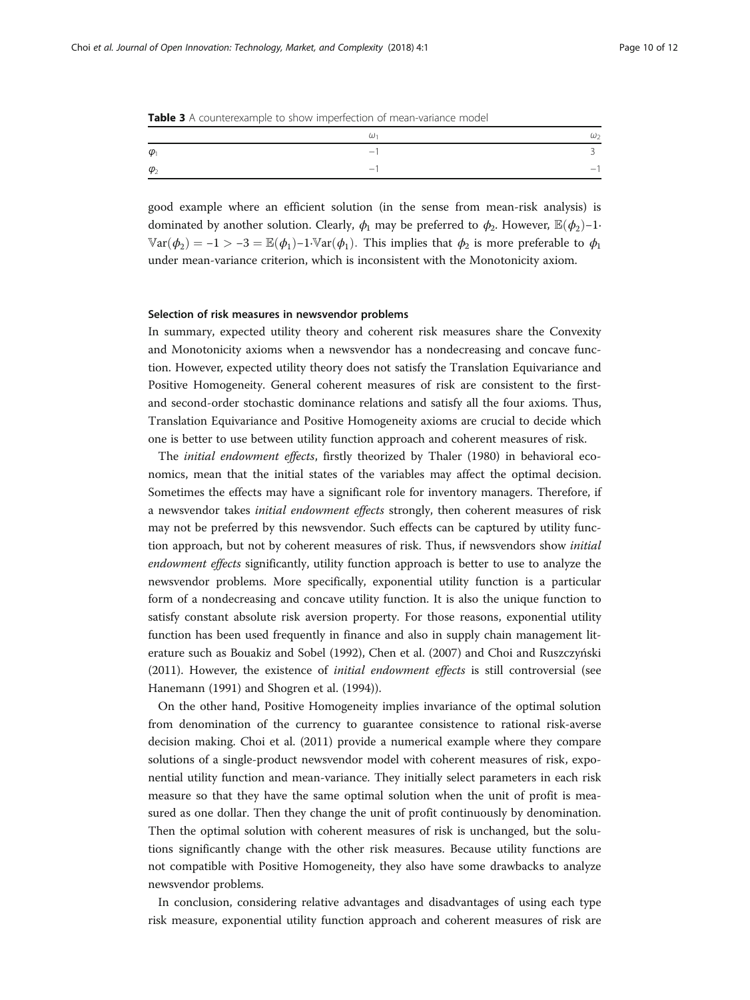<span id="page-9-0"></span>

|  | Table 3 A counterexample to show imperfection of mean-variance model |
|--|----------------------------------------------------------------------|
|--|----------------------------------------------------------------------|

|        | $\omega_1$ | $\omega_{\gamma}$ |
|--------|------------|-------------------|
| $(D -$ |            |                   |
|        |            |                   |

good example where an efficient solution (in the sense from mean-risk analysis) is dominated by another solution. Clearly,  $\phi_1$  may be preferred to  $\phi_2$ . However,  $\mathbb{E}(\phi_2)$ –1∙  $\mathbb{V}\text{ar}(\phi_2) = -1 > -3 = \mathbb{E}(\phi_1) - 1 \cdot \mathbb{V}\text{ar}(\phi_1)$ . This implies that  $\phi_2$  is more preferable to  $\phi_1$ under mean-variance criterion, which is inconsistent with the Monotonicity axiom.

### Selection of risk measures in newsvendor problems

In summary, expected utility theory and coherent risk measures share the Convexity and Monotonicity axioms when a newsvendor has a nondecreasing and concave function. However, expected utility theory does not satisfy the Translation Equivariance and Positive Homogeneity. General coherent measures of risk are consistent to the firstand second-order stochastic dominance relations and satisfy all the four axioms. Thus, Translation Equivariance and Positive Homogeneity axioms are crucial to decide which one is better to use between utility function approach and coherent measures of risk.

The initial endowment effects, firstly theorized by Thaler [\(1980](#page-11-0)) in behavioral economics, mean that the initial states of the variables may affect the optimal decision. Sometimes the effects may have a significant role for inventory managers. Therefore, if a newsvendor takes initial endowment effects strongly, then coherent measures of risk may not be preferred by this newsvendor. Such effects can be captured by utility function approach, but not by coherent measures of risk. Thus, if newsvendors show initial endowment effects significantly, utility function approach is better to use to analyze the newsvendor problems. More specifically, exponential utility function is a particular form of a nondecreasing and concave utility function. It is also the unique function to satisfy constant absolute risk aversion property. For those reasons, exponential utility function has been used frequently in finance and also in supply chain management literature such as Bouakiz and Sobel ([1992\)](#page-11-0), Chen et al. ([2007](#page-11-0)) and Choi and Ruszczyński ([2011](#page-11-0)). However, the existence of initial endowment effects is still controversial (see Hanemann ([1991\)](#page-11-0) and Shogren et al. ([1994\)](#page-11-0)).

On the other hand, Positive Homogeneity implies invariance of the optimal solution from denomination of the currency to guarantee consistence to rational risk-averse decision making. Choi et al. ([2011](#page-11-0)) provide a numerical example where they compare solutions of a single-product newsvendor model with coherent measures of risk, exponential utility function and mean-variance. They initially select parameters in each risk measure so that they have the same optimal solution when the unit of profit is measured as one dollar. Then they change the unit of profit continuously by denomination. Then the optimal solution with coherent measures of risk is unchanged, but the solutions significantly change with the other risk measures. Because utility functions are not compatible with Positive Homogeneity, they also have some drawbacks to analyze newsvendor problems.

In conclusion, considering relative advantages and disadvantages of using each type risk measure, exponential utility function approach and coherent measures of risk are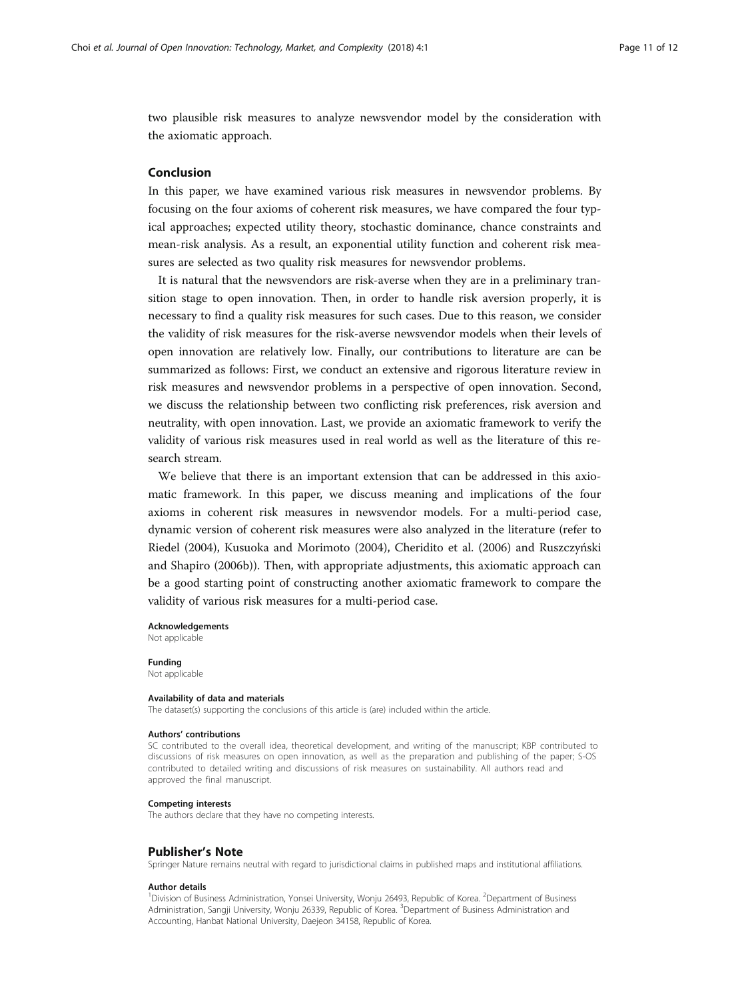two plausible risk measures to analyze newsvendor model by the consideration with the axiomatic approach.

### Conclusion

In this paper, we have examined various risk measures in newsvendor problems. By focusing on the four axioms of coherent risk measures, we have compared the four typical approaches; expected utility theory, stochastic dominance, chance constraints and mean-risk analysis. As a result, an exponential utility function and coherent risk measures are selected as two quality risk measures for newsvendor problems.

It is natural that the newsvendors are risk-averse when they are in a preliminary transition stage to open innovation. Then, in order to handle risk aversion properly, it is necessary to find a quality risk measures for such cases. Due to this reason, we consider the validity of risk measures for the risk-averse newsvendor models when their levels of open innovation are relatively low. Finally, our contributions to literature are can be summarized as follows: First, we conduct an extensive and rigorous literature review in risk measures and newsvendor problems in a perspective of open innovation. Second, we discuss the relationship between two conflicting risk preferences, risk aversion and neutrality, with open innovation. Last, we provide an axiomatic framework to verify the validity of various risk measures used in real world as well as the literature of this research stream.

We believe that there is an important extension that can be addressed in this axiomatic framework. In this paper, we discuss meaning and implications of the four axioms in coherent risk measures in newsvendor models. For a multi-period case, dynamic version of coherent risk measures were also analyzed in the literature (refer to Riedel ([2004](#page-11-0)), Kusuoka and Morimoto [\(2004\)](#page-11-0), Cheridito et al. [\(2006\)](#page-11-0) and Ruszczyński and Shapiro [\(2006b\)](#page-11-0)). Then, with appropriate adjustments, this axiomatic approach can be a good starting point of constructing another axiomatic framework to compare the validity of various risk measures for a multi-period case.

Acknowledgements Not applicable

Funding Not applicable

#### Availability of data and materials

The dataset(s) supporting the conclusions of this article is (are) included within the article.

#### Authors' contributions

SC contributed to the overall idea, theoretical development, and writing of the manuscript; KBP contributed to discussions of risk measures on open innovation, as well as the preparation and publishing of the paper; S-OS contributed to detailed writing and discussions of risk measures on sustainability. All authors read and approved the final manuscript.

#### Competing interests

The authors declare that they have no competing interests.

### Publisher's Note

Springer Nature remains neutral with regard to jurisdictional claims in published maps and institutional affiliations.

### Author details

<sup>1</sup>Division of Business Administration, Yonsei University, Wonju 26493, Republic of Korea. <sup>2</sup>Department of Business Administration, Sangji University, Wonju 26339, Republic of Korea. <sup>3</sup>Department of Business Administration and Accounting, Hanbat National University, Daejeon 34158, Republic of Korea.